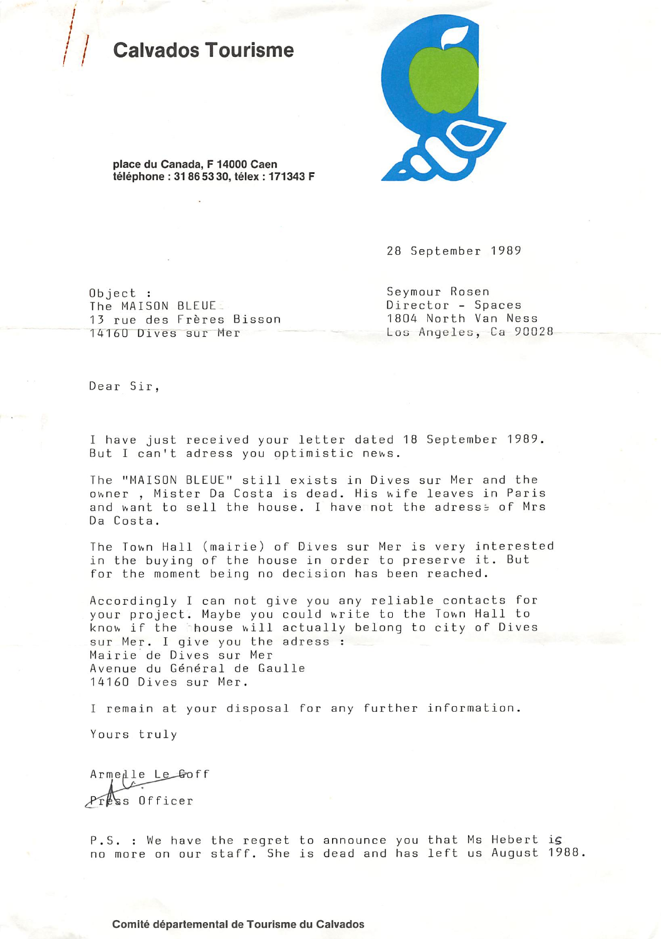## alvados Tourisme



place du Canada, F 14000 Caen téléphone : 31 86 53 30, télex : 171343 F

28 September 1989

 $0<sub>b</sub>$  ject : The MAISON BLEUE 13 rue des Frères Bisson 14160 Dives sur Mer

Seymour Rosen Director - Spaces 1804 North Van Ness Los Angeles, Ca 90028

Dear Sir,

I have just received your letter dated 18 September 1989. But I can't adress you optimistic news.

The "MAISON BLEUE" still exists in Dives sur Mer and the owner, Mister Da Costa is dead. His wife leaves in Paris and want to sell the house. I have not the adresss of Mrs Da Costa.

The Town Hall (mairie) of Dives sur Mer is very interested in the buying of the house in order to preserve it. But for the moment being no decision has been reached.

Accordingly I can not give you any reliable contacts for your project. Maybe you could write to the Town Hall to know if the house will actually belong to city of Dives sur Mer. I give you the adress : Mairie de Dives sur Mer Avenue du Général de Gaulle 14160 Dives sur Mer.

I remain at your disposal for any further information.

Yours truly

Armedle Le Goff Press Officer

P.S. : We have the regret to announce you that Ms Hebert is no more on our staff. She is dead and has left us August 1988.